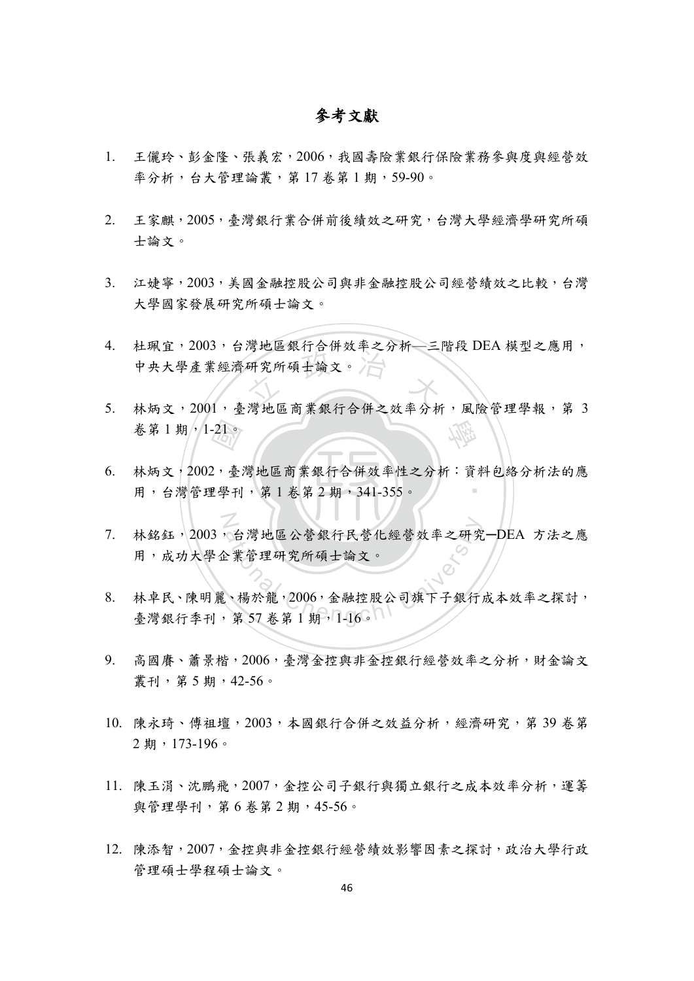## 參考文獻

- 1. 王儷玲、彭金隆、張義宏,2006,我國壽險業銀行保險業務參與度與經營效 率分析,台大管理論叢,第17 卷第1期,59-90。
- 2. 王家麒,2005,臺灣銀行業合併前後績效之研究,台灣大學經濟學研究所碩 士論文。
- 3. 江婕寧,2003,美國金融控股公司與非金融控股公司經營績效之比較,台灣 大學國家發展研究所碩士論文。
- 研究所碩士論文。 4. 杜珮宜,2003,台灣地區銀行合併效率之分析—三階段 DEA 模型之應用, 中央大學產業經濟研究所碩士論文。
- 學 5. 林炳文,2001,臺灣地區商業銀行合併之效率分析,風險管理學報,第 3
- 用,台灣管理學刊,第1卷第2期,341-355。 卷第1期, 1-21。<br>林炳文, 2002, 臺<br>用, 台灣管理學刊 ‧ 6. 林炳文,2002,臺灣地區商業銀行合併效率性之分析:資料包絡分析法的應
- N 合灣地區公營銀行民營化經營效率之研究<br>全業管理研究所碩士論文。<br>、楊於龍,2006,金融控股公司旗下子銀行,<br>第57卷第1期,1-16。 7. 林銘鈺,2003,台灣地區公營銀行民營化經營效率之研究-DEA 方法之應 用,成功大學企業管理研究所碩士論文。
- 8. 林卓民、陳明麗、楊於龍,2006,金融控股公司旗下子銀行成本效率之探討, 臺灣銀行季刊,第57 卷第1期,1-16。
- 9. 高國賡、蕭景楷,2006,臺灣金控與非金控銀行經營效率之分析,財金論文 叢刊,第 5 期,42-56。
- 10. 陳永琦、傅祖壇,2003,本國銀行合併之效益分析,經濟研究,第 39 卷第 2 期,173-196。
- 11. 陳玉涓、沈鵬飛,2007,金控公司子銀行與獨立銀行之成本效率分析,運籌 與管理學刊,第6卷第2期,45-56。
- 12. 陳添智,2007,金控與非金控銀行經營績效影響因素之探討,政治大學行政 管理碩士學程碩士論文。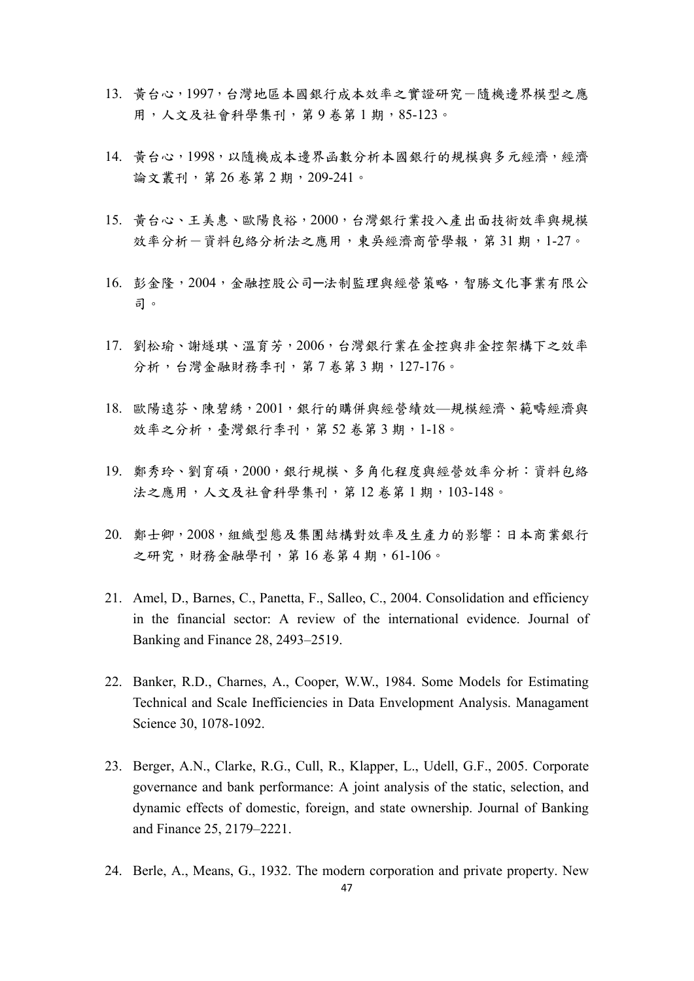- 13. 黃台心,1997,台灣地區本國銀行成本效率之實證研究-隨機邊界模型之應 用,人文及社會科學集刊,第9卷第1期,85-123。
- 14. 黃台心,1998,以隨機成本邊界函數分析本國銀行的規模與多元經濟,經濟 論文叢刊,第 26 卷第 2 期,209-241。
- 15. 黃台心、王美惠、歐陽良裕,2000,台灣銀行業投入產出面技術效率與規模 效率分析一資料包絡分析法之應用,東吳經濟商管學報,第31期,1-27。
- 16. 彭金隆,2004,金融控股公司─法制監理與經營策略,智勝文化事業有限公 司。
- 17. 劉松瑜、謝燧琪、溫育芳,2006,台灣銀行業在金控與非金控架構下之效率 分析,台灣金融財務季刊,第7卷第3期,127-176。
- 18. 歐陽遠芬、陳碧綉, 2001, 銀行的購併與經營績效—規模經濟、範疇經濟與 效率之分析,臺灣銀行季刊,第52卷第3期,1-18。
- 19. 鄭秀玲、劉育碩,2000,銀行規模、多角化程度與經營效率分析:資料包絡 法之應用,人文及社會科學集刊,第12 卷第1期,103-148。
- 20. 鄭士卿,2008,組織型態及集團結構對效率及生產力的影響:日本商業銀行 之研究,財務金融學刊,第16卷第4期,61-106。
- 21. Amel, D., Barnes, C., Panetta, F., Salleo, C., 2004. Consolidation and efficiency in the financial sector: A review of the international evidence. Journal of Banking and Finance 28, 2493–2519.
- 22. Banker, R.D., Charnes, A., Cooper, W.W., 1984. Some Models for Estimating Technical and Scale Inefficiencies in Data Envelopment Analysis. Managament Science 30, 1078-1092.
- 23. Berger, A.N., Clarke, R.G., Cull, R., Klapper, L., Udell, G.F., 2005. Corporate governance and bank performance: A joint analysis of the static, selection, and dynamic effects of domestic, foreign, and state ownership. Journal of Banking and Finance 25, 2179–2221.
- 24. Berle, A., Means, G., 1932. The modern corporation and private property. New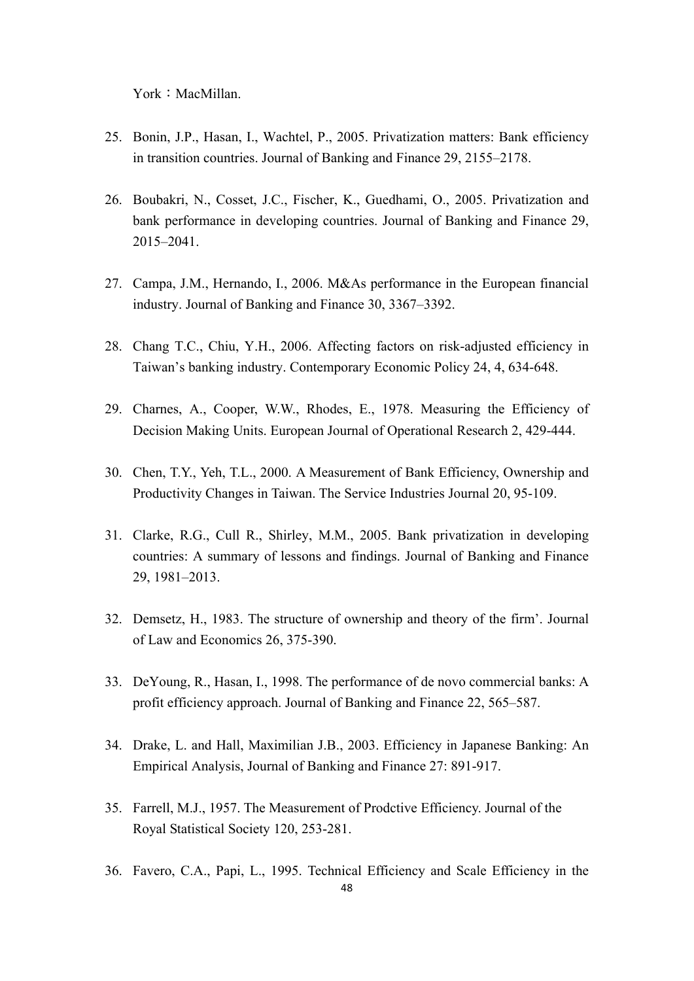York: MacMillan.

- 25. Bonin, J.P., Hasan, I., Wachtel, P., 2005. Privatization matters: Bank efficiency in transition countries. Journal of Banking and Finance 29, 2155–2178.
- 26. Boubakri, N., Cosset, J.C., Fischer, K., Guedhami, O., 2005. Privatization and bank performance in developing countries. Journal of Banking and Finance 29, 2015–2041.
- 27. Campa, J.M., Hernando, I., 2006. M&As performance in the European financial industry. Journal of Banking and Finance 30, 3367–3392.
- 28. Chang T.C., Chiu, Y.H., 2006. Affecting factors on risk-adjusted efficiency in Taiwan's banking industry. Contemporary Economic Policy 24, 4, 634-648.
- 29. Charnes, A., Cooper, W.W., Rhodes, E., 1978. Measuring the Efficiency of Decision Making Units. European Journal of Operational Research 2, 429-444.
- 30. Chen, T.Y., Yeh, T.L., 2000. A Measurement of Bank Efficiency, Ownership and Productivity Changes in Taiwan. The Service Industries Journal 20, 95-109.
- 31. Clarke, R.G., Cull R., Shirley, M.M., 2005. Bank privatization in developing countries: A summary of lessons and findings. Journal of Banking and Finance 29, 1981–2013.
- 32. Demsetz, H., 1983. The structure of ownership and theory of the firm'. Journal of Law and Economics 26, 375-390.
- 33. DeYoung, R., Hasan, I., 1998. The performance of de novo commercial banks: A profit efficiency approach. Journal of Banking and Finance 22, 565–587.
- 34. Drake, L. and Hall, Maximilian J.B., 2003. Efficiency in Japanese Banking: An Empirical Analysis, Journal of Banking and Finance 27: 891-917.
- 35. Farrell, M.J., 1957. The Measurement of Prodctive Efficiency. Journal of the Royal Statistical Society 120, 253-281.
- 36. Favero, C.A., Papi, L., 1995. Technical Efficiency and Scale Efficiency in the